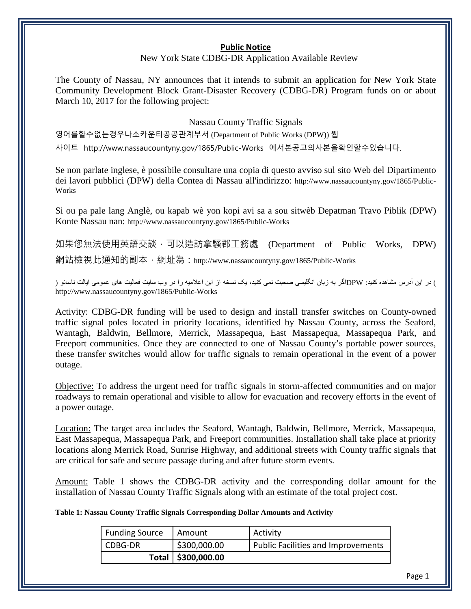## **Public Notice**

## New York State CDBG-DR Application Available Review

The County of Nassau, NY announces that it intends to submit an application for New York State Community Development Block Grant-Disaster Recovery (CDBG-DR) Program funds on or about March 10, 2017 for the following project:

## Nassau County Traffic Signals

영어를할수없는경우나소카운티공공관계부서 (Department of Public Works (DPW)) 웹

사이트 http://www.nassaucountyny.gov/1865/Public-Works 에서본공고의사본을확인할수있습니다.

Se non parlate inglese, è possibile consultare una copia di questo avviso sul sito Web del Dipartimento dei lavori pubblici (DPW) della Contea di Nassau all'indirizzo: http://www.nassaucountyny.gov/1865/Public-Works

Si ou pa pale lang Anglè, ou kapab wè yon kopi avi sa a sou sitwèb Depatman Travo Piblik (DPW) Konte Nassau nan: http://www.nassaucountyny.gov/1865/Public-Works

如果您無法使用英語交談,可以造訪拿騷郡工務處 (Department of Public Works, DPW) 網站檢視此通知的副本,網址為:http://www.nassaucountyny.gov/1865/Public-Works

) در این آدرس مشاھده کنید: DPWاگر بھ زبان انگلیسی صحبت نمی کنید، یک نسخھ از این اعلامیھ را در وب سایت فعالیت ھای عمومی ایالت ناسائو ( http://www.nassaucountyny.gov/1865/Public-Works

Activity: CDBG-DR funding will be used to design and install transfer switches on County-owned traffic signal poles located in priority locations, identified by Nassau County, across the Seaford, Wantagh, Baldwin, Bellmore, Merrick, Massapequa, East Massapequa, Massapequa Park, and Freeport communities. Once they are connected to one of Nassau County's portable power sources, these transfer switches would allow for traffic signals to remain operational in the event of a power outage.

Objective: To address the urgent need for traffic signals in storm-affected communities and on major roadways to remain operational and visible to allow for evacuation and recovery efforts in the event of a power outage.

Location: The target area includes the Seaford, Wantagh, Baldwin, Bellmore, Merrick, Massapequa, East Massapequa, Massapequa Park, and Freeport communities. Installation shall take place at priority locations along Merrick Road, Sunrise Highway, and additional streets with County traffic signals that are critical for safe and secure passage during and after future storm events.

Amount: Table 1 shows the CDBG-DR activity and the corresponding dollar amount for the installation of Nassau County Traffic Signals along with an estimate of the total project cost.

**Table 1: Nassau County Traffic Signals Corresponding Dollar Amounts and Activity**

| <b>Funding Source</b> | Amount               | Activity                           |
|-----------------------|----------------------|------------------------------------|
| CDBG-DR               | \$300,000.00         | Public Facilities and Improvements |
|                       | Total   \$300,000.00 |                                    |